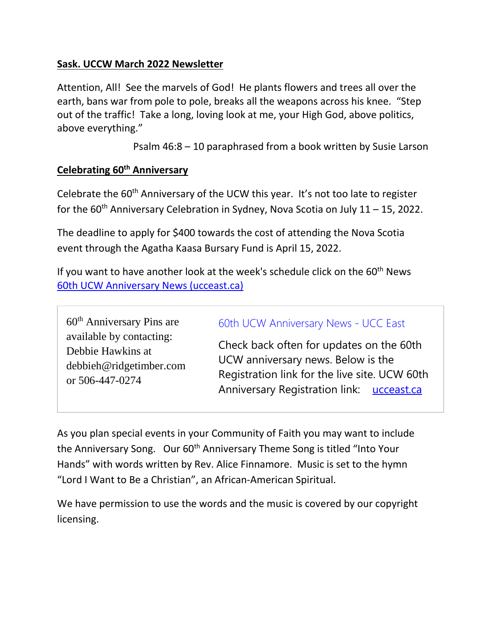## **Sask. UCCW March 2022 Newsletter**

Attention, All! See the marvels of God! He plants flowers and trees all over the earth, bans war from pole to pole, breaks all the weapons across his knee. "Step out of the traffic! Take a long, loving look at me, your High God, above politics, above everything."

Psalm 46:8 – 10 paraphrased from a book written by Susie Larson

### **Celebrating 60th Anniversary**

Celebrate the 60<sup>th</sup> Anniversary of the UCW this year. It's not too late to register for the  $60<sup>th</sup>$  Anniversary Celebration in Sydney, Nova Scotia on July 11 – 15, 2022.

The deadline to apply for \$400 towards the cost of attending the Nova Scotia event through the Agatha Kaasa Bursary Fund is April 15, 2022.

If you want to have another look at the week's schedule click on the  $60<sup>th</sup>$  News [60th UCW Anniversary News \(ucceast.ca\)](https://ucceast.ca/fsldw-and-region-15-ucw/ucws-60th-anniversary-news)

60th Anniversary Pins are available by contacting: Debbie Hawkins at debbieh@ridgetimber.com or 506-447-0274

#### [60th UCW Anniversary News -](https://ucceast.ca/fsldw-and-region-15-ucw/ucws-60th-anniversary-news) UCC East

Check back often for updates on the 60th UCW anniversary news. Below is the Registration link for the live site. UCW 60th Anniversary Registration link: [ucceast.ca](http://ucceast.ca/)

As you plan special events in your Community of Faith you may want to include the Anniversary Song. Our 60<sup>th</sup> Anniversary Theme Song is titled "Into Your Hands" with words written by Rev. Alice Finnamore. Music is set to the hymn "Lord I Want to Be a Christian", an African-American Spiritual.

We have permission to use the words and the music is covered by our copyright licensing.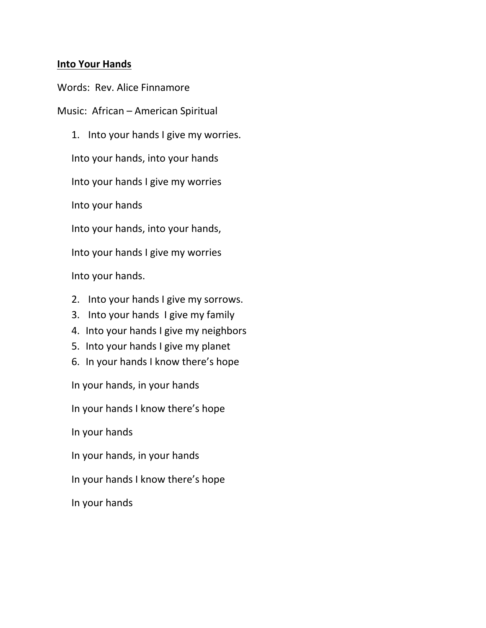#### **Into Your Hands**

Words: Rev. Alice Finnamore

Music: African – American Spiritual

1. Into your hands I give my worries. Into your hands, into your hands Into your hands I give my worries Into your hands Into your hands, into your hands, Into your hands I give my worries Into your hands.

- 2. Into your hands I give my sorrows.
- 3. Into your hands I give my family
- 4. Into your hands I give my neighbors
- 5. Into your hands I give my planet
- 6. In your hands I know there's hope

In your hands, in your hands

In your hands I know there's hope

In your hands

In your hands, in your hands

In your hands I know there's hope

In your hands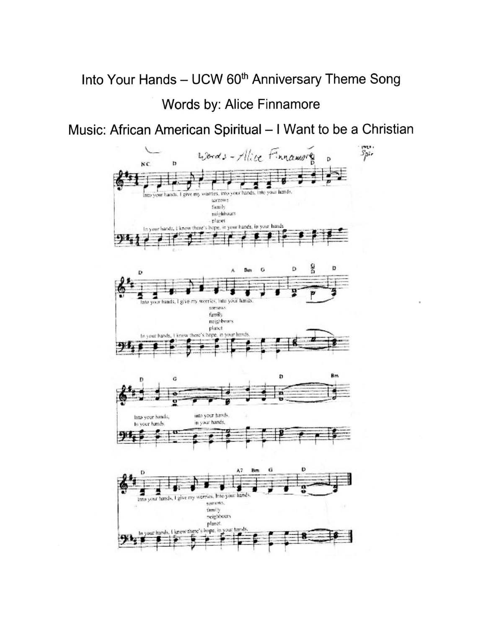# Into Your Hands - UCW 60<sup>th</sup> Anniversary Theme Song Words by: Alice Finnamore

# Music: African American Spiritual - I Want to be a Christian